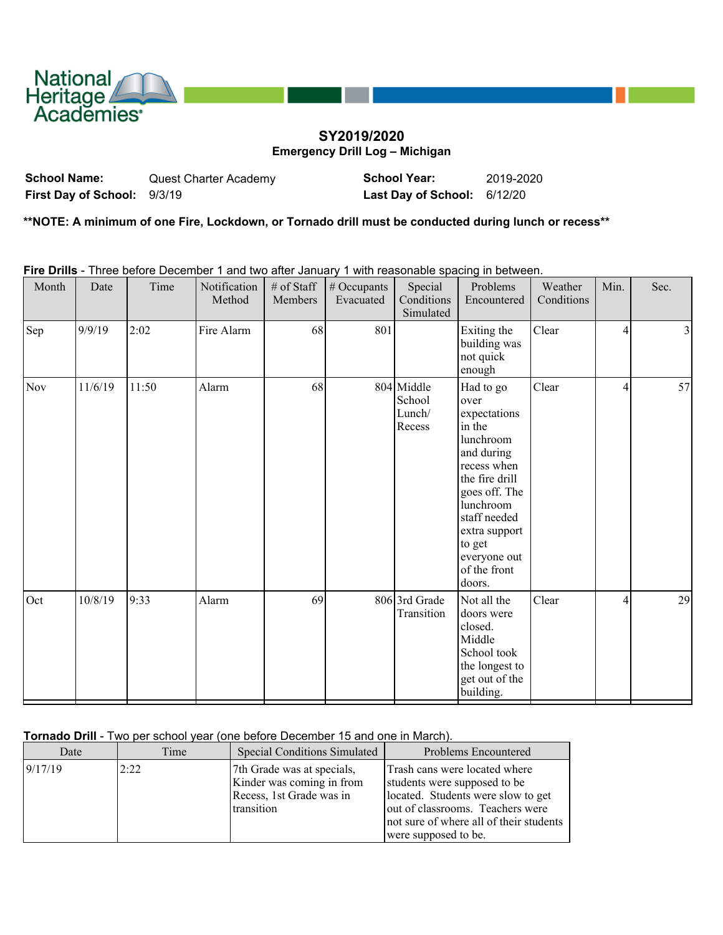

# **SY2019/2020 Emergency Drill Log – Michigan**

**School Name:** Quest Charter Academy **School Year:** 2019-2020 **First Day of School:** 9/3/19 **Last Day of School:** 6/12/20

**\*\*NOTE: A minimum of one Fire, Lockdown, or Tornado drill must be conducted during lunch or recess\*\***

**Fire Drills** - Three before December 1 and two after January 1 with reasonable spacing in between.

| Month | Date    | Time  | Notification<br>Method | # of Staff<br>Members | # Occupants<br>Evacuated | Special<br>Conditions<br>Simulated       | Problems<br>Encountered                                                                                                                                                                                                    | Weather<br>Conditions | Min.           | Sec. |
|-------|---------|-------|------------------------|-----------------------|--------------------------|------------------------------------------|----------------------------------------------------------------------------------------------------------------------------------------------------------------------------------------------------------------------------|-----------------------|----------------|------|
| Sep   | 9/9/19  | 2:02  | Fire Alarm             | 68                    | 801                      |                                          | Exiting the<br>building was<br>not quick<br>enough                                                                                                                                                                         | Clear                 | $\overline{4}$ | 3    |
| Nov   | 11/6/19 | 11:50 | Alarm                  | 68                    |                          | 804 Middle<br>School<br>Lunch/<br>Recess | Had to go<br>over<br>expectations<br>in the<br>lunchroom<br>and during<br>recess when<br>the fire drill<br>goes off. The<br>lunchroom<br>staff needed<br>extra support<br>to get<br>everyone out<br>of the front<br>doors. | Clear                 | $\overline{4}$ | 57   |
| Oct   | 10/8/19 | 9:33  | Alarm                  | 69                    |                          | 806 3rd Grade<br>Transition              | Not all the<br>doors were<br>closed.<br>Middle<br>School took<br>the longest to<br>get out of the<br>building.                                                                                                             | Clear                 | 4              | 29   |

#### **Tornado Drill** - Two per school year (one before December 15 and one in March).

| Date     | Time | <b>Special Conditions Simulated</b>                                                               | Problems Encountered                                                                                                                                                                                       |
|----------|------|---------------------------------------------------------------------------------------------------|------------------------------------------------------------------------------------------------------------------------------------------------------------------------------------------------------------|
| 19/17/19 | 2:22 | 7th Grade was at specials,<br>Kinder was coming in from<br>Recess, 1st Grade was in<br>transition | Trash cans were located where<br>students were supposed to be<br>located. Students were slow to get<br>out of classrooms. Teachers were<br>not sure of where all of their students<br>were supposed to be. |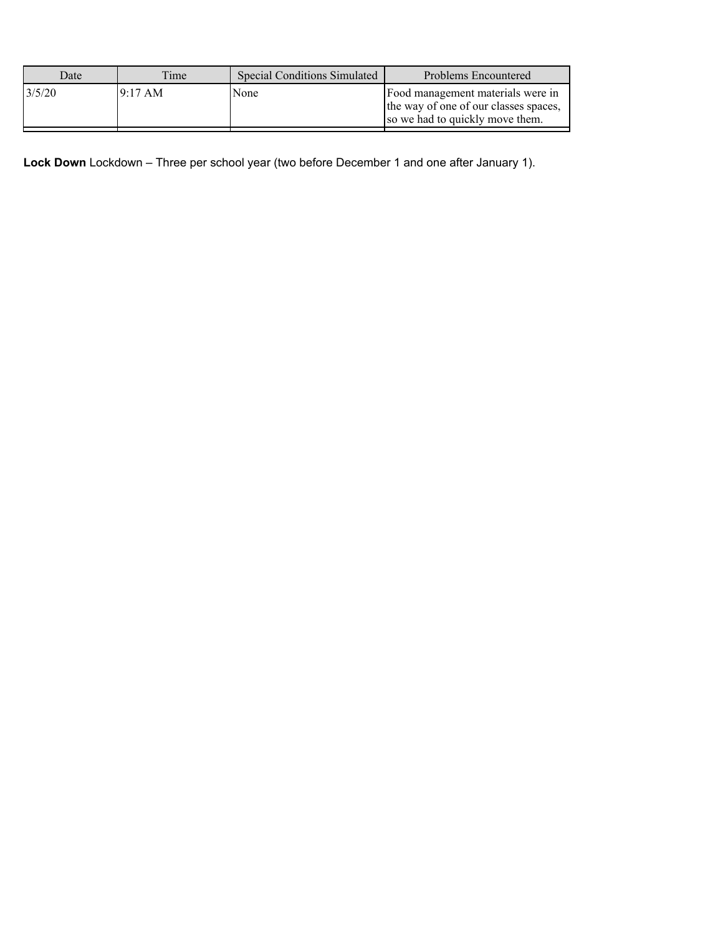| Date   | Time     | <b>Special Conditions Simulated</b> | Problems Encountered                                                                                          |
|--------|----------|-------------------------------------|---------------------------------------------------------------------------------------------------------------|
| 3/5/20 | 19:17 AM | None                                | Food management materials were in<br>the way of one of our classes spaces,<br>so we had to quickly move them. |

**Lock Down** Lockdown – Three per school year (two before December 1 and one after January 1).